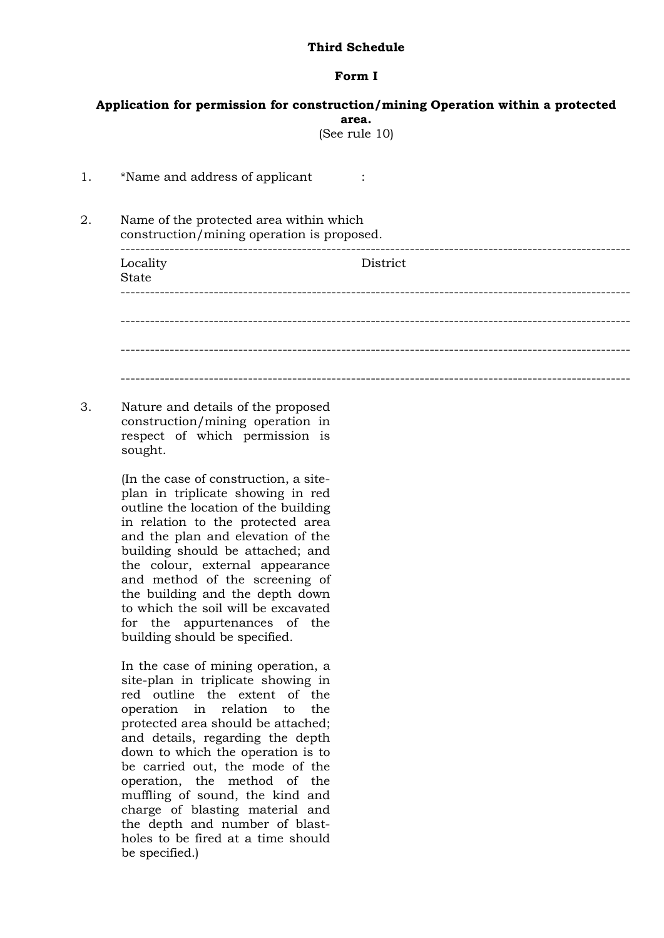## **Third Schedule**

## **Form I**

| Application for permission for construction/mining Operation within a protected<br>area. |                                                                                                                                                                                                                                                                                                                                                                                                                                                                                       |          |
|------------------------------------------------------------------------------------------|---------------------------------------------------------------------------------------------------------------------------------------------------------------------------------------------------------------------------------------------------------------------------------------------------------------------------------------------------------------------------------------------------------------------------------------------------------------------------------------|----------|
| (See rule 10)                                                                            |                                                                                                                                                                                                                                                                                                                                                                                                                                                                                       |          |
| 1.                                                                                       | *Name and address of applicant                                                                                                                                                                                                                                                                                                                                                                                                                                                        |          |
| 2.                                                                                       | Name of the protected area within which<br>construction/mining operation is proposed.                                                                                                                                                                                                                                                                                                                                                                                                 |          |
|                                                                                          | Locality<br><b>State</b>                                                                                                                                                                                                                                                                                                                                                                                                                                                              | District |
|                                                                                          |                                                                                                                                                                                                                                                                                                                                                                                                                                                                                       |          |
|                                                                                          |                                                                                                                                                                                                                                                                                                                                                                                                                                                                                       |          |
| 3.                                                                                       | Nature and details of the proposed<br>construction/mining operation in<br>respect of which permission is<br>sought.                                                                                                                                                                                                                                                                                                                                                                   |          |
|                                                                                          | (In the case of construction, a site-<br>plan in triplicate showing in red<br>outline the location of the building<br>in relation to the protected area<br>and the plan and elevation of the<br>building should be attached; and<br>the colour, external appearance<br>and method of the screening of<br>the building and the depth down<br>to which the soil will be excavated<br>for the appurtenances of the<br>building should be specified.                                      |          |
|                                                                                          | In the case of mining operation, a<br>site-plan in triplicate showing in<br>red outline the extent of the<br>operation<br>relation<br>the<br>in<br>to<br>protected area should be attached;<br>and details, regarding the depth<br>down to which the operation is to<br>be carried out, the mode of the<br>operation, the method of the<br>muffling of sound, the kind and<br>charge of blasting material and<br>the depth and number of blast-<br>holes to be fired at a time should |          |

be specified.)